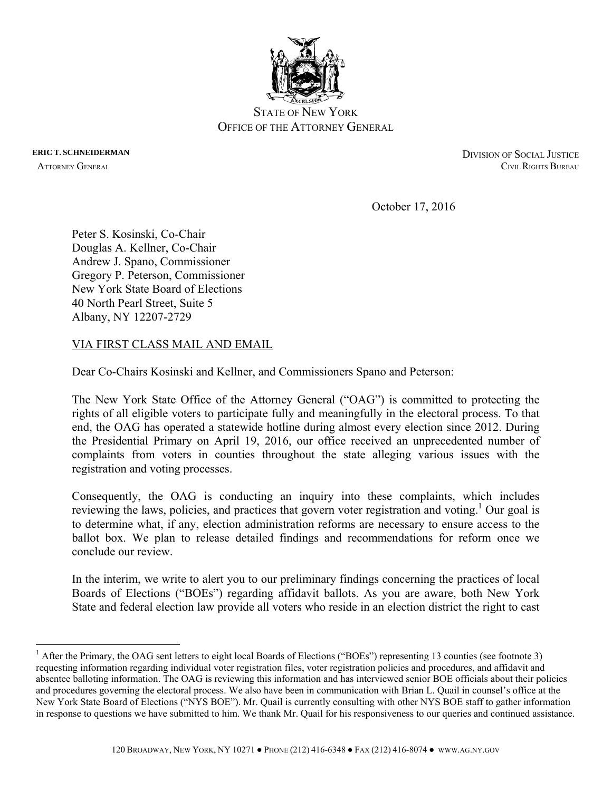

 $\overline{a}$ 

**ERIC T. SCHNEIDERMAN** DIVISION OF SOCIAL JUSTICE ATTORNEY GENERAL **CIVIL RIGHTS BUREAU** 

October 17, 2016

Peter S. Kosinski, Co-Chair Douglas A. Kellner, Co-Chair Andrew J. Spano, Commissioner Gregory P. Peterson, Commissioner New York State Board of Elections 40 North Pearl Street, Suite 5 Albany, NY 12207-2729

## VIA FIRST CLASS MAIL AND EMAIL

Dear Co-Chairs Kosinski and Kellner, and Commissioners Spano and Peterson:

The New York State Office of the Attorney General ("OAG") is committed to protecting the rights of all eligible voters to participate fully and meaningfully in the electoral process. To that end, the OAG has operated a statewide hotline during almost every election since 2012. During the Presidential Primary on April 19, 2016, our office received an unprecedented number of complaints from voters in counties throughout the state alleging various issues with the registration and voting processes.

Consequently, the OAG is conducting an inquiry into these complaints, which includes reviewing the laws, policies, and practices that govern voter registration and voting.<sup>1</sup> Our goal is to determine what, if any, election administration reforms are necessary to ensure access to the ballot box. We plan to release detailed findings and recommendations for reform once we conclude our review.

In the interim, we write to alert you to our preliminary findings concerning the practices of local Boards of Elections ("BOEs") regarding affidavit ballots. As you are aware, both New York State and federal election law provide all voters who reside in an election district the right to cast

<sup>&</sup>lt;sup>1</sup> After the Primary, the OAG sent letters to eight local Boards of Elections ("BOEs") representing 13 counties (see footnote 3) requesting information regarding individual voter registration files, voter registration policies and procedures, and affidavit and absentee balloting information. The OAG is reviewing this information and has interviewed senior BOE officials about their policies and procedures governing the electoral process. We also have been in communication with Brian L. Quail in counsel's office at the New York State Board of Elections ("NYS BOE"). Mr. Quail is currently consulting with other NYS BOE staff to gather information in response to questions we have submitted to him. We thank Mr. Quail for his responsiveness to our queries and continued assistance.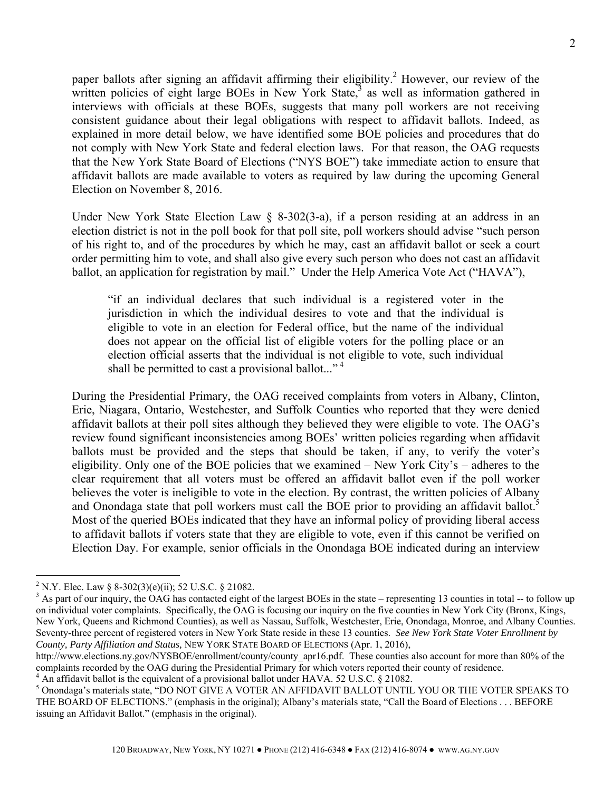paper ballots after signing an affidavit affirming their eligibility.<sup>2</sup> However, our review of the written policies of eight large BOEs in New York State, $3$  as well as information gathered in interviews with officials at these BOEs, suggests that many poll workers are not receiving consistent guidance about their legal obligations with respect to affidavit ballots. Indeed, as explained in more detail below, we have identified some BOE policies and procedures that do not comply with New York State and federal election laws. For that reason, the OAG requests that the New York State Board of Elections ("NYS BOE") take immediate action to ensure that affidavit ballots are made available to voters as required by law during the upcoming General Election on November 8, 2016.

Under New York State Election Law § 8-302(3-a), if a person residing at an address in an election district is not in the poll book for that poll site, poll workers should advise "such person of his right to, and of the procedures by which he may, cast an affidavit ballot or seek a court order permitting him to vote, and shall also give every such person who does not cast an affidavit ballot, an application for registration by mail." Under the Help America Vote Act ("HAVA"),

"if an individual declares that such individual is a registered voter in the jurisdiction in which the individual desires to vote and that the individual is eligible to vote in an election for Federal office, but the name of the individual does not appear on the official list of eligible voters for the polling place or an election official asserts that the individual is not eligible to vote, such individual shall be permitted to cast a provisional ballot..."<sup>4</sup>

During the Presidential Primary, the OAG received complaints from voters in Albany, Clinton, Erie, Niagara, Ontario, Westchester, and Suffolk Counties who reported that they were denied affidavit ballots at their poll sites although they believed they were eligible to vote. The OAG's review found significant inconsistencies among BOEs' written policies regarding when affidavit ballots must be provided and the steps that should be taken, if any, to verify the voter's eligibility. Only one of the BOE policies that we examined – New York City's – adheres to the clear requirement that all voters must be offered an affidavit ballot even if the poll worker believes the voter is ineligible to vote in the election. By contrast, the written policies of Albany and Onondaga state that poll workers must call the BOE prior to providing an affidavit ballot.<sup>5</sup> Most of the queried BOEs indicated that they have an informal policy of providing liberal access to affidavit ballots if voters state that they are eligible to vote, even if this cannot be verified on Election Day. For example, senior officials in the Onondaga BOE indicated during an interview

1

<sup>&</sup>lt;sup>2</sup> N.Y. Elec. Law § 8-302(3)(e)(ii); 52 U.S.C. § 21082.

 $3$  As part of our inquiry, the OAG has contacted eight of the largest BOEs in the state – representing 13 counties in total -- to follow up on individual voter complaints. Specifically, the OAG is focusing our inquiry on the five counties in New York City (Bronx, Kings, New York, Queens and Richmond Counties), as well as Nassau, Suffolk, Westchester, Erie, Onondaga, Monroe, and Albany Counties. Seventy-three percent of registered voters in New York State reside in these 13 counties. *See New York State Voter Enrollment by County, Party Affiliation and Status,* NEW YORK STATE BOARD OF ELECTIONS (Apr. 1, 2016),

http://www.elections.ny.gov/NYSBOE/enrollment/county/county\_apr16.pdf. These counties also account for more than 80% of the complaints recorded by the OAG during the Presidential Primary for which voters reported their county of residence. 4

<sup>&</sup>lt;sup>4</sup> An affidavit ballot is the equivalent of a provisional ballot under HAVA. 52 U.S.C. § 21082.

<sup>5</sup> Onondaga's materials state, "DO NOT GIVE A VOTER AN AFFIDAVIT BALLOT UNTIL YOU OR THE VOTER SPEAKS TO THE BOARD OF ELECTIONS." (emphasis in the original); Albany's materials state, "Call the Board of Elections . . . BEFORE issuing an Affidavit Ballot." (emphasis in the original).